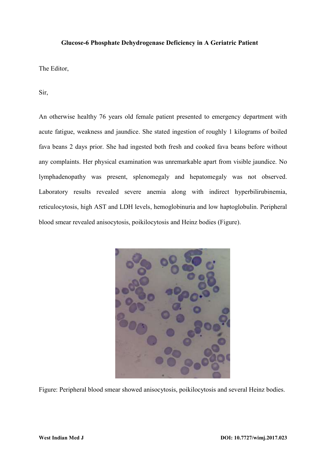## **Glucose-6 Phosphate Dehydrogenase Deficiency in A Geriatric Patient**

The Editor,

Sir,

An otherwise healthy 76 years old female patient presented to emergency department with acute fatigue, weakness and jaundice. She stated ingestion of roughly 1 kilograms of boiled fava beans 2 days prior. She had ingested both fresh and cooked fava beans before without any complaints. Her physical examination was unremarkable apart from visible jaundice. No lymphadenopathy was present, splenomegaly and hepatomegaly was not observed. Laboratory results revealed severe anemia along with indirect hyperbilirubinemia, reticulocytosis, high AST and LDH levels, hemoglobinuria and low haptoglobulin. Peripheral blood smear revealed anisocytosis, poikilocytosis and Heinz bodies (Figure).



Figure: Peripheral blood smear showed anisocytosis, poikilocytosis and several Heinz bodies.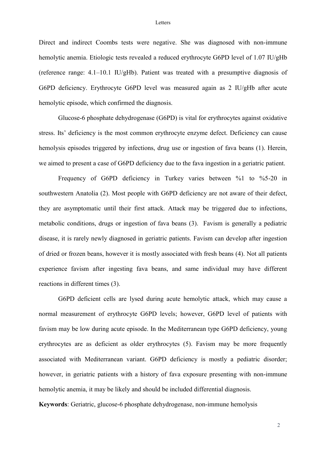## **Letters**

Direct and indirect Coombs tests were negative. She was diagnosed with non-immune hemolytic anemia. Etiologic tests revealed a reduced erythrocyte G6PD level of 1.07 IU/gHb (reference range: 4.1–10.1 IU/gHb). Patient was treated with a presumptive diagnosis of G6PD deficiency. Erythrocyte G6PD level was measured again as 2 IU/gHb after acute hemolytic episode, which confirmed the diagnosis.

Glucose-6 phosphate dehydrogenase (G6PD) is vital for erythrocytes against oxidative stress. Its' deficiency is the most common erythrocyte enzyme defect. Deficiency can cause hemolysis episodes triggered by infections, drug use or ingestion of fava beans (1). Herein, we aimed to present a case of G6PD deficiency due to the fava ingestion in a geriatric patient.

Frequency of G6PD deficiency in Turkey varies between %1 to %5-20 in southwestern Anatolia (2). Most people with G6PD deficiency are not aware of their defect, they are asymptomatic until their first attack. Attack may be triggered due to infections, metabolic conditions, drugs or ingestion of fava beans (3). Favism is generally a pediatric disease, it is rarely newly diagnosed in geriatric patients. Favism can develop after ingestion of dried or frozen beans, however it is mostly associated with fresh beans (4). Not all patients experience favism after ingesting fava beans, and same individual may have different reactions in different times (3).

G6PD deficient cells are lysed during acute hemolytic attack, which may cause a normal measurement of erythrocyte G6PD levels; however, G6PD level of patients with favism may be low during acute episode. In the Mediterranean type G6PD deficiency, young erythrocytes are as deficient as older erythrocytes (5). Favism may be more frequently associated with Mediterranean variant. G6PD deficiency is mostly a pediatric disorder; however, in geriatric patients with a history of fava exposure presenting with non-immune hemolytic anemia, it may be likely and should be included differential diagnosis.

**Keywords**: Geriatric, glucose-6 phosphate dehydrogenase, non-immune hemolysis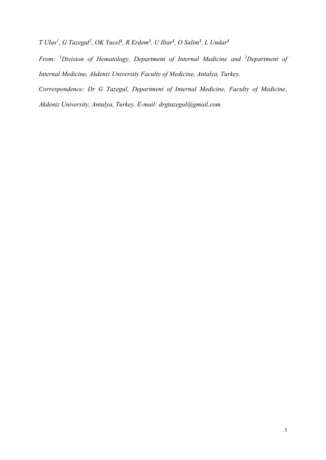*T Ulas<sup>1</sup> , G Tazegul<sup>2</sup> , OK Yucel<sup>1</sup> , R Erdem<sup>1</sup> , U Iltar<sup>1</sup> , O Salim<sup>1</sup> , L Undar<sup>1</sup>*

*From: <sup>1</sup>Division of Hematology, Department of Internal Medicine and <sup>2</sup>Department of Internal Medicine, Akdeniz University Faculty of Medicine, Antalya, Turkey.* 

*Correspondence: Dr G Tazegul, Department of Internal Medicine, Faculty of Medicine,* 

*Akdeniz University, Antalya, Turkey. E-mail: [drgtazegul@gmail.com](mailto:drgtazegul@gmail.com)*